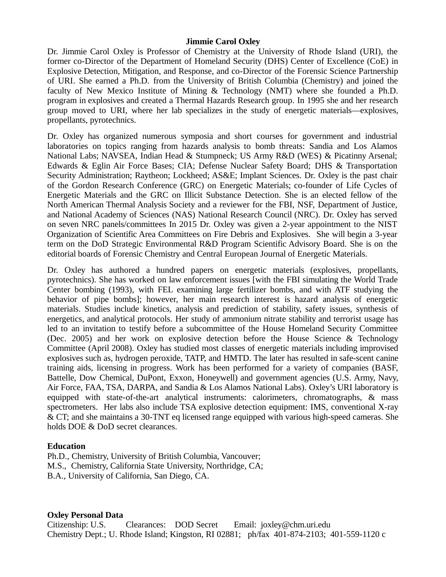### **Jimmie Carol Oxley**

Dr. Jimmie Carol Oxley is Professor of Chemistry at the University of Rhode Island (URI), the former co-Director of the Department of Homeland Security (DHS) Center of Excellence (CoE) in Explosive Detection, Mitigation, and Response, and co-Director of the Forensic Science Partnership of URI. She earned a Ph.D. from the University of British Columbia (Chemistry) and joined the faculty of New Mexico Institute of Mining & Technology (NMT) where she founded a Ph.D. program in explosives and created a Thermal Hazards Research group. In 1995 she and her research group moved to URI, where her lab specializes in the study of energetic materials—explosives, propellants, pyrotechnics.

Dr. Oxley has organized numerous symposia and short courses for government and industrial laboratories on topics ranging from hazards analysis to bomb threats: Sandia and Los Alamos National Labs; NAVSEA, Indian Head & Stumpneck; US Army R&D (WES) & Picatinny Arsenal; Edwards & Eglin Air Force Bases; CIA; Defense Nuclear Safety Board; DHS & Transportation Security Administration; Raytheon; Lockheed; AS&E; Implant Sciences. Dr. Oxley is the past chair of the Gordon Research Conference (GRC) on Energetic Materials; co-founder of Life Cycles of Energetic Materials and the GRC on Illicit Substance Detection. She is an elected fellow of the North American Thermal Analysis Society and a reviewer for the FBI, NSF, Department of Justice, and National Academy of Sciences (NAS) National Research Council (NRC). Dr. Oxley has served on seven NRC panels/committees In 2015 Dr. Oxley was given a 2-year appointment to the NIST Organization of Scientific Area Committees on Fire Debris and Explosives. She will begin a 3-year term on the DoD Strategic Environmental R&D Program Scientific Advisory Board. She is on the editorial boards of Forensic Chemistry and Central European Journal of Energetic Materials.

Dr. Oxley has authored a hundred papers on energetic materials (explosives, propellants, pyrotechnics). She has worked on law enforcement issues [with the FBI simulating the World Trade Center bombing (1993), with FEL examining large fertilizer bombs, and with ATF studying the behavior of pipe bombs]; however, her main research interest is hazard analysis of energetic materials. Studies include kinetics, analysis and prediction of stability, safety issues, synthesis of energetics, and analytical protocols. Her study of ammonium nitrate stability and terrorist usage has led to an invitation to testify before a subcommittee of the House Homeland Security Committee (Dec. 2005) and her work on explosive detection before the House Science & Technology Committee (April 2008). Oxley has studied most classes of energetic materials including improvised explosives such as, hydrogen peroxide, TATP, and HMTD. The later has resulted in safe-scent canine training aids, licensing in progress. Work has been performed for a variety of companies (BASF, Battelle, Dow Chemical, DuPont, Exxon, Honeywell) and government agencies (U.S. Army, Navy, Air Force, FAA, TSA, DARPA, and Sandia & Los Alamos National Labs). Oxley's URI laboratory is equipped with state-of-the-art analytical instruments: calorimeters, chromatographs, & mass spectrometers. Her labs also include TSA explosive detection equipment: IMS, conventional X-ray & CT; and she maintains a 30-TNT eq licensed range equipped with various high-speed cameras. She holds DOE & DoD secret clearances.

#### **Education**

Ph.D., Chemistry, University of British Columbia, Vancouver; M.S., Chemistry, California State University, Northridge, CA; B.A., University of California, San Diego, CA.

#### **Oxley Personal Data**

Citizenship: U.S. Clearances: DOD Secret Email: joxley@chm.uri.edu Chemistry Dept.; U. Rhode Island; Kingston, RI 02881; ph/fax 401-874-2103; 401-559-1120 c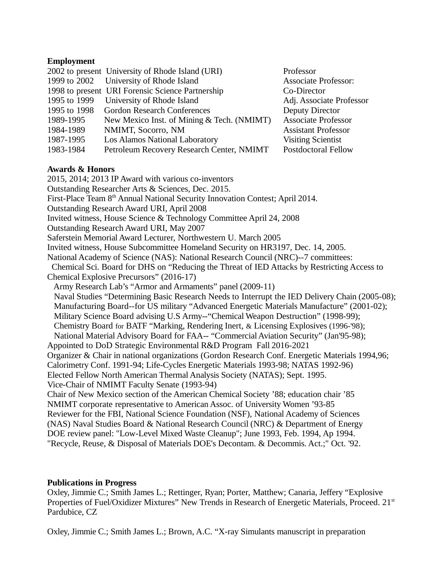## **Employment**

|           | 2002 to present University of Rhode Island (URI) | Professor                   |
|-----------|--------------------------------------------------|-----------------------------|
|           | 1999 to 2002 University of Rhode Island          | <b>Associate Professor:</b> |
|           | 1998 to present URI Forensic Science Partnership | Co-Director                 |
|           | 1995 to 1999 University of Rhode Island          | Adj. Associate Professor    |
|           | 1995 to 1998 Gordon Research Conferences         | Deputy Director             |
| 1989-1995 | New Mexico Inst. of Mining & Tech. (NMIMT)       | <b>Associate Professor</b>  |
| 1984-1989 | NMIMT, Socorro, NM                               | <b>Assistant Professor</b>  |
| 1987-1995 | Los Alamos National Laboratory                   | <b>Visiting Scientist</b>   |
| 1983-1984 | Petroleum Recovery Research Center, NMIMT        | <b>Postdoctoral Fellow</b>  |

### **Awards & Honors**

2015, 2014; 2013 IP Award with various co-inventors Outstanding Researcher Arts & Sciences, Dec. 2015. First-Place Team 8<sup>th</sup> Annual National Security Innovation Contest; April 2014. Outstanding Research Award URI, April 2008 Invited witness, House Science & Technology Committee April 24, 2008 Outstanding Research Award URI, May 2007 Saferstein Memorial Award Lecturer, Northwestern U. March 2005 Invited witness, House Subcommittee Homeland Security on HR3197, Dec. 14, 2005. National Academy of Science (NAS): National Research Council (NRC)--7 committees: Chemical Sci. Board for DHS on "Reducing the Threat of IED Attacks by Restricting Access to Chemical Explosive Precursors" (2016-17) Army Research Lab's "Armor and Armaments" panel (2009-11) Naval Studies "Determining Basic Research Needs to Interrupt the IED Delivery Chain (2005-08); Manufacturing Board--for US military "Advanced Energetic Materials Manufacture" (2001-02); Military Science Board advising U.S Army--"Chemical Weapon Destruction" (1998-99); Chemistry Board for BATF "Marking, Rendering Inert, & Licensing Explosives (1996-'98); National Material Advisory Board for FAA-- "Commercial Aviation Security" (Jan'95-98); Appointed to DoD Strategic Environmental R&D Program Fall 2016-2021 Organizer & Chair in national organizations (Gordon Research Conf. Energetic Materials 1994,96; Calorimetry Conf. 1991-94; Life-Cycles Energetic Materials 1993-98; NATAS 1992-96) Elected Fellow North American Thermal Analysis Society (NATAS); Sept. 1995. Vice-Chair of NMIMT Faculty Senate (1993-94) Chair of New Mexico section of the American Chemical Society '88; education chair '85 NMIMT corporate representative to American Assoc. of University Women '93-85 Reviewer for the FBI, National Science Foundation (NSF), National Academy of Sciences (NAS) Naval Studies Board & National Research Council (NRC) & Department of Energy DOE review panel: "Low-Level Mixed Waste Cleanup"; June 1993, Feb. 1994, Ap 1994. "Recycle, Reuse, & Disposal of Materials DOE's Decontam. & Decommis. Act.;" Oct. '92.

# **Publications in Progress**

Oxley, Jimmie C.; Smith James L.; Rettinger, Ryan; Porter, Matthew; Canaria, Jeffery "Explosive Properties of Fuel/Oxidizer Mixtures" New Trends in Research of Energetic Materials, Proceed. 21<sup>st</sup> Pardubice, CZ

Oxley, Jimmie C.; Smith James L.; Brown, A.C. "X-ray Simulants manuscript in preparation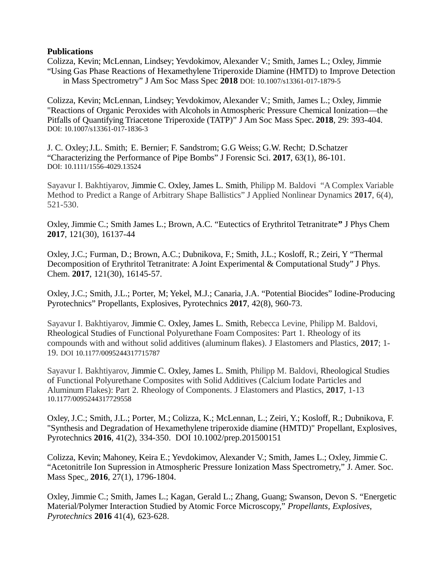### **Publications**

Colizza, Kevin; McLennan, Lindsey; Yevdokimov, Alexander V.; Smith, James L.; Oxley, Jimmie "Using Gas Phase Reactions of Hexamethylene Triperoxide Diamine (HMTD) to Improve Detection in Mass Spectrometry" J Am Soc Mass Spec **2018** DOI: 10.1007/s13361-017-1879-5

Colizza, Kevin; McLennan, Lindsey; Yevdokimov, Alexander V.; Smith, James L.; Oxley, Jimmie "Reactions of Organic Peroxides with Alcohols in Atmospheric Pressure Chemical Ionization—the Pitfalls of Quantifying Triacetone Triperoxide (TATP)" J Am Soc Mass Spec**. 2018**, 29: 393-404. DOI: 10.1007/s13361-017-1836-3

J. C. Oxley;J.L. Smith; E. Bernier; F. Sandstrom; G.G Weiss; G.W. Recht; D.Schatzer "Characterizing the Performance of Pipe Bombs" J Forensic Sci. **2017**, 63(1), 86-101. DOI: 10.1111/1556-4029.13524

Sayavur I. Bakhtiyarov, Jimmie C. Oxley, James L. Smith, Philipp M. Baldovi "A Complex Variable Method to Predict a Range of Arbitrary Shape Ballistics" J Applied Nonlinear Dynamics **2017**, 6(4), 521-530.

Oxley, Jimmie C.; Smith James L.; Brown, A.C. "Eutectics of Erythritol Tetranitrate**"** J Phys Chem **2017**, 121(30), 16137-44

Oxley, J.C.; Furman, D.; Brown, A.C.; Dubnikova, F.; Smith, J.L.; Kosloff, R.; Zeiri, Y "Thermal Decomposition of Erythritol Tetranitrate: A Joint Experimental & Computational Study" J Phys. Chem. **2017**, 121(30), 16145-57.

Oxley, J.C.; Smith, J.L.; Porter, M; Yekel, M.J.; Canaria, J.A. "Potential Biocides" Iodine-Producing Pyrotechnics" Propellants, Explosives, Pyrotechnics **2017**, 42(8), 960-73.

Sayavur I. Bakhtiyarov, Jimmie C. Oxley, James L. Smith, Rebecca Levine, Philipp M. Baldovi, Rheological Studies of Functional Polyurethane Foam Composites: Part 1. Rheology of its compounds with and without solid additives (aluminum flakes). J Elastomers and Plastics, **2017**; 1- 19. DOI 10.1177/0095244317715787

Sayavur I. Bakhtiyarov, Jimmie C. Oxley, James L. Smith, Philipp M. Baldovi, Rheological Studies of Functional Polyurethane Composites with Solid Additives (Calcium Iodate Particles and Aluminum Flakes): Part 2. Rheology of Components. J Elastomers and Plastics, **2017**, 1-13 10.1177/0095244317729558

Oxley, J.C.; Smith, J.L.; Porter, M.; Colizza, K.; McLennan, L.; Zeiri, Y.; Kosloff, R.; Dubnikova, F. "Synthesis and Degradation of Hexamethylene triperoxide diamine (HMTD)" Propellant, Explosives, Pyrotechnics **2016**, 41(2), 334-350. DOI 10.1002/prep.201500151

Colizza, Kevin; Mahoney, Keira E.; Yevdokimov, Alexander V.; Smith, James L.; Oxley, Jimmie C. "Acetonitrile Ion Supression in Atmospheric Pressure Ionization Mass Spectrometry," J. Amer. Soc. Mass Spec*.*, **2016**, 27(1), 1796-1804.

Oxley, Jimmie C.; Smith, James L.; Kagan, Gerald L.; Zhang, Guang; Swanson, Devon S. "Energetic Material/Polymer Interaction Studied by Atomic Force Microscopy," *Propellants, Explosives, Pyrotechnics* **2016** 41(4), 623-628.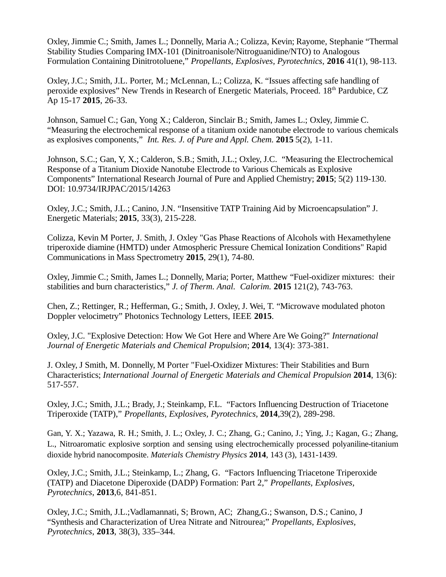Oxley, Jimmie C.; Smith, James L.; Donnelly, Maria A.; Colizza, Kevin; Rayome, Stephanie "Thermal Stability Studies Comparing IMX-101 (Dinitroanisole/Nitroguanidine/NTO) to Analogous Formulation Containing Dinitrotoluene," *Propellants, Explosives, Pyrotechnics*, **2016** 41(1), 98-113.

Oxley, J.C.; Smith, J.L. Porter, M.; McLennan, L.; Colizza, K. "Issues affecting safe handling of peroxide explosives" New Trends in Research of Energetic Materials, Proceed. 18<sup>th</sup> Pardubice, CZ Ap 15-17 **2015**, 26-33.

Johnson, Samuel C.; Gan, Yong X.; Calderon, Sinclair B.; Smith, James L.; Oxley, Jimmie C. "Measuring the electrochemical response of a titanium oxide nanotube electrode to various chemicals as explosives components," *Int. Res. J. of Pure and Appl. Chem.* **2015** 5(2), 1-11.

Johnson, S.C.; Gan, Y, X.; Calderon, S.B.; Smith, J.L.; Oxley, J.C. "Measuring the Electrochemical Response of a Titanium Dioxide Nanotube Electrode to Various Chemicals as Explosive Components" International Research Journal of Pure and Applied Chemistry; **2015**; 5(2) 119-130. DOI: 10.9734/IRJPAC/2015/14263

Oxley, J.C.; Smith, J.L.; Canino, J.N. "Insensitive TATP Training Aid by Microencapsulation" J. Energetic Materials; **2015**, 33(3), 215-228.

Colizza, Kevin M Porter, J. Smith, J. Oxley "Gas Phase Reactions of Alcohols with Hexamethylene triperoxide diamine (HMTD) under Atmospheric Pressure Chemical Ionization Conditions" Rapid Communications in Mass Spectrometry **2015**, 29(1), 74-80.

Oxley, Jimmie C.; Smith, James L.; Donnelly, Maria; Porter, Matthew "Fuel-oxidizer mixtures: their stabilities and burn characteristics," *J. of Therm. Anal. Calorim.* **2015** 121(2), 743-763.

Chen, Z.; Rettinger, R.; Hefferman, G.; Smith, J. Oxley, J. Wei, T. "Microwave modulated photon Doppler velocimetry" Photonics Technology Letters, IEEE **2015**.

Oxley, J.C. "Explosive Detection: How We Got Here and Where Are We Going?" *International Journal of Energetic Materials and Chemical Propulsion*; **2014**, 13(4): 373-381.

J. Oxley, J Smith, M. Donnelly, M Porter "Fuel-Oxidizer Mixtures: Their Stabilities and Burn Characteristics; *International Journal of Energetic Materials and Chemical Propulsion* **2014**, 13(6): 517-557.

Oxley, J.C.; Smith, J.L.; Brady, J.; Steinkamp, F.L. "Factors Influencing Destruction of Triacetone Triperoxide (TATP)," *Propellants, Explosives, Pyrotechnics*, **2014**,39(2), 289-298.

Gan, Y. X.; Yazawa, R. H.; Smith, J. L.; Oxley, J. C.; Zhang, G.; Canino, J.; Ying, J.; Kagan, G.; Zhang, L., Nitroaromatic explosive sorption and sensing using electrochemically processed polyaniline-titanium dioxide hybrid nanocomposite. *Materials Chemistry Physics* **2014**, 143 (3), 1431-1439.

Oxley, J.C.; Smith, J.L.; Steinkamp, L.; Zhang, G. "Factors Influencing Triacetone Triperoxide (TATP) and Diacetone Diperoxide (DADP) Formation: Part 2," *Propellants, Explosives, Pyrotechnics*, **2013**,6, 841-851.

Oxley, J.C.; Smith, J.L.;Vadlamannati, S; Brown, AC; Zhang,G.; Swanson, D.S.; Canino, J "Synthesis and Characterization of Urea Nitrate and Nitrourea;" *Propellants, Explosives, Pyrotechnics*, **2013**, 38(3), 335–344.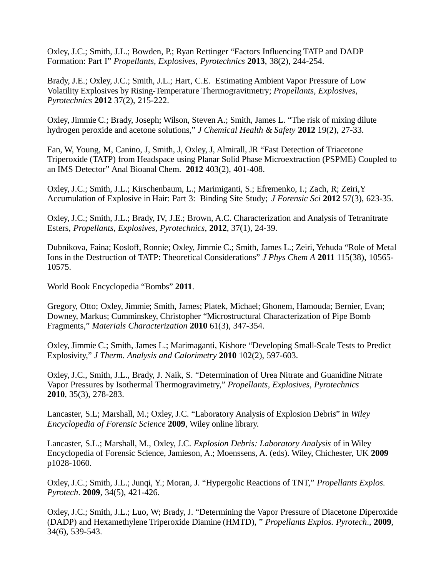Oxley, J.C.; Smith, J.L.; Bowden, P.; Ryan Rettinger "Factors Influencing TATP and DADP Formation: Part I" *Propellants, Explosives, Pyrotechnics* **2013**, 38(2), 244-254.

Brady, J.E.; Oxley, J.C.; Smith, J.L.; Hart, C.E. Estimating Ambient Vapor Pressure of Low Volatility Explosives by Rising-Temperature Thermogravitmetry; *Propellants, Explosives, Pyrotechnics* **2012** 37(2), 215-222.

Oxley, Jimmie C.; Brady, Joseph; Wilson, Steven A.; Smith, James L. "The risk of mixing dilute hydrogen peroxide and acetone solutions," *J Chemical Health & Safety* **2012** 19(2), 27-33.

Fan, W, Young, M, Canino, J, Smith, J, Oxley, J, Almirall, JR "Fast Detection of Triacetone Triperoxide (TATP) from Headspace using Planar Solid Phase Microextraction (PSPME) Coupled to an IMS Detector" Anal Bioanal Chem. **2012** 403(2), 401-408.

Oxley, J.C.; Smith, J.L.; Kirschenbaum, L.; Marimiganti, S.; Efremenko, I.; Zach, R; Zeiri,Y Accumulation of Explosive in Hair: Part 3: Binding Site Study; *J Forensic Sci* **2012** 57(3), 623-35.

Oxley, J.C.; Smith, J.L.; Brady, IV, J.E.; Brown, A.C. Characterization and Analysis of Tetranitrate Esters, *Propellants, Explosives, Pyrotechnics*, **2012**, 37(1), 24-39.

Dubnikova, Faina; Kosloff, Ronnie; Oxley, Jimmie C.; Smith, James L.; Zeiri, Yehuda "Role of Metal Ions in the Destruction of TATP: Theoretical Considerations" *J Phys Chem A* **2011** 115(38), 10565- 10575.

World Book Encyclopedia "Bombs" **2011**.

Gregory, Otto; Oxley, Jimmie; Smith, James; Platek, Michael; Ghonem, Hamouda; Bernier, Evan; Downey, Markus; Cumminskey, Christopher "Microstructural Characterization of Pipe Bomb Fragments," *Materials Characterization* **2010** 61(3), 347-354.

Oxley, Jimmie C.; Smith, James L.; Marimaganti, Kishore "Developing Small-Scale Tests to Predict Explosivity," *J Therm. Analysis and Calorimetry* **2010** 102(2), 597-603.

Oxley, J.C., Smith, J.L., Brady, J. Naik, S. "Determination of Urea Nitrate and Guanidine Nitrate Vapor Pressures by Isothermal Thermogravimetry," *Propellants, Explosives, Pyrotechnics* **2010**, 35(3), 278-283.

Lancaster, S.L; Marshall, M.; Oxley, J.C. "Laboratory Analysis of Explosion Debris" in *Wiley Encyclopedia of Forensic Science* **2009**, Wiley online library.

Lancaster, S.L.; Marshall, M., Oxley, J.C. *Explosion Debris: Laboratory Analysis* of in Wiley Encyclopedia of Forensic Science, Jamieson, A.; Moenssens, A. (eds). Wiley, Chichester, UK **2009** p1028-1060.

Oxley, J.C.; Smith, J.L.; Junqi, Y.; Moran, J. "Hypergolic Reactions of TNT," *Propellants Explos. Pyrotech*. **2009**, 34(5), 421-426.

Oxley, J.C.; Smith, J.L.; Luo, W; Brady, J. "Determining the Vapor Pressure of Diacetone Diperoxide (DADP) and Hexamethylene Triperoxide Diamine (HMTD), " *Propellants Explos. Pyrotech*., **2009**, 34(6), 539-543.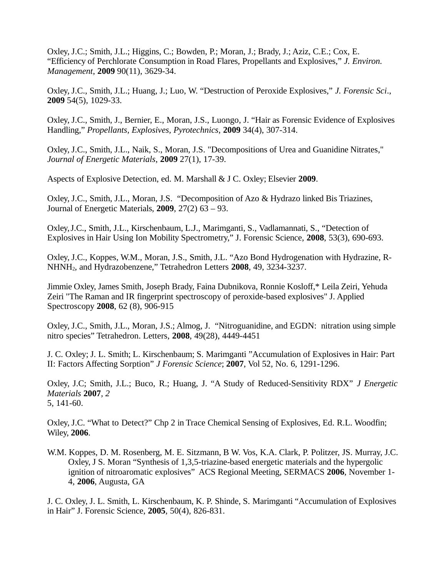Oxley, J.C.; Smith, J.L.; Higgins, C.; Bowden, P.; Moran, J.; Brady, J.; Aziz, C.E.; Cox, E. "Efficiency of Perchlorate Consumption in Road Flares, Propellants and Explosives," *J. Environ. Management*, **2009** 90(11), 3629-34.

Oxley, J.C., Smith, J.L.; Huang, J.; Luo, W. "Destruction of Peroxide Explosives," *J. Forensic Sci*., **2009** 54(5), 1029-33.

Oxley, J.C., Smith, J., Bernier, E., Moran, J.S., Luongo, J. "Hair as Forensic Evidence of Explosives Handling," *Propellants, Explosives, Pyrotechnics*, **2009** 34(4), 307-314.

Oxley, J.C., Smith, J.L., Naik, S., Moran, J.S. "Decompositions of Urea and Guanidine Nitrates," *Journal of Energetic Materials*, **2009** 27(1), 17-39.

Aspects of Explosive Detection, ed. M. Marshall & J C. Oxley; Elsevier **2009**.

Oxley, J.C., Smith, J.L., Moran, J.S. "Decomposition of Azo & Hydrazo linked Bis Triazines, Journal of Energetic Materials, **2009**, 27(2) 63 – 93.

Oxley,J.C., Smith, J.L., Kirschenbaum, L.J., Marimganti, S., Vadlamannati, S., "Detection of Explosives in Hair Using Ion Mobility Spectrometry," J. Forensic Science, **2008**, 53(3), 690-693.

Oxley, J.C., Koppes, W.M., Moran, J.S., Smith, J.L. "Azo Bond Hydrogenation with Hydrazine, R-NHNH2, and Hydrazobenzene," Tetrahedron Letters **2008**, 49, 3234-3237.

Jimmie Oxley, James Smith, Joseph Brady, Faina Dubnikova, Ronnie Kosloff,\* Leila Zeiri, Yehuda Zeiri "The Raman and IR fingerprint spectroscopy of peroxide-based explosives" J. Applied Spectroscopy **2008**, 62 (8), 906-915

Oxley, J.C., Smith, J.L., Moran, J.S.; Almog, J. "Nitroguanidine, and EGDN: nitration using simple nitro species" Tetrahedron. Letters, **2008**, 49(28), 4449-4451

J. C. Oxley; J. L. Smith; L. Kirschenbaum; S. Marimganti "Accumulation of Explosives in Hair: Part II: Factors Affecting Sorption" *J Forensic Science*; **2007**, Vol 52, No. 6, 1291-1296.

Oxley, J.C; Smith, J.L.; Buco, R.; Huang, J. "A Study of Reduced-Sensitivity RDX" *J Energetic Materials* **2007***, 2* 5, 141-60.

Oxley, J.C. "What to Detect?" Chp 2 in Trace Chemical Sensing of Explosives, Ed. R.L. Woodfin; Wiley, **2006**.

W.M. Koppes, D. M. Rosenberg, M. E. Sitzmann, B W. Vos, K.A. Clark, P. Politzer, JS. Murray, J.C. Oxley, J S. Moran "Synthesis of 1,3,5-triazine-based energetic materials and the hypergolic ignition of nitroaromatic explosives" ACS Regional Meeting, SERMACS **2006**, November 1- 4, **2006**, Augusta, GA

J. C. Oxley, J. L. Smith, L. Kirschenbaum, K. P. Shinde, S. Marimganti "Accumulation of Explosives in Hair" J. Forensic Science, **2005**, 50(4), 826-831.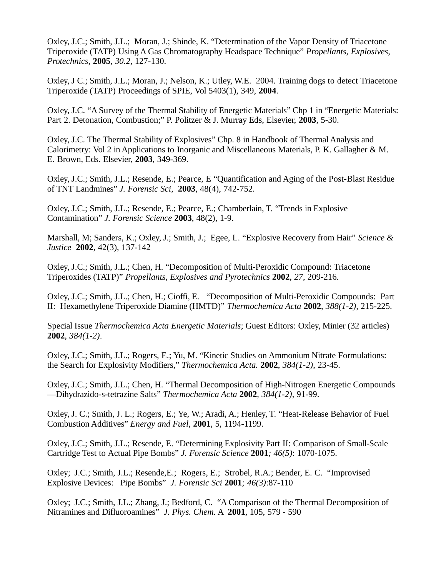Oxley, J.C.; Smith, J.L.; Moran, J.; Shinde, K. "Determination of the Vapor Density of Triacetone Triperoxide (TATP) Using A Gas Chromatography Headspace Technique" *Propellants, Explosives, Protechnics,* **2005***, 30.2,* 127-130.

Oxley, J C.; Smith, J.L.; Moran, J.; Nelson, K.; Utley, W.E. 2004. Training dogs to detect Triacetone Triperoxide (TATP) Proceedings of SPIE, Vol 5403(1), 349, **2004**.

Oxley, J.C. "A Survey of the Thermal Stability of Energetic Materials" Chp 1 in "Energetic Materials: Part 2. Detonation, Combustion;" P. Politzer & J. Murray Eds, Elsevier, **2003**, 5-30.

Oxley, J.C. The Thermal Stability of Explosives" Chp. 8 in Handbook of Thermal Analysis and Calorimetry: Vol 2 in Applications to Inorganic and Miscellaneous Materials, P. K. Gallagher & M. E. Brown, Eds. Elsevier, **2003**, 349-369.

Oxley, J.C.; Smith, J.L.; Resende, E.; Pearce, E "Quantification and Aging of the Post-Blast Residue of TNT Landmines" *J. Forensic Sci*, **2003**, 48(4), 742-752.

Oxley, J.C.; Smith, J.L.; Resende, E.; Pearce, E.; Chamberlain, T. "Trends in Explosive Contamination" *J. Forensic Science* **2003**, 48(2), 1-9.

Marshall, M; Sanders, K.; Oxley, J.; Smith, J.; Egee, L. "Explosive Recovery from Hair" *Science & Justice* **2002**, 42(3), 137-142

Oxley, J.C.; Smith, J.L.; Chen, H. "Decomposition of Multi-Peroxidic Compound: Triacetone Triperoxides (TATP)" *Propellants, Explosives and Pyrotechnics* **2002**, *27*, 209-216.

Oxley, J.C.; Smith, J.L.; Chen, H.; Cioffi, E. "Decomposition of Multi-Peroxidic Compounds: Part II: Hexamethylene Triperoxide Diamine (HMTD)" *Thermochemica Acta* **2002**, *388(1-2),* 215-225.

Special Issue *Thermochemica Acta Energetic Materials*; Guest Editors: Oxley, Minier (32 articles) **2002**, *384(1-2)*.

Oxley, J.C.; Smith, J.L.; Rogers, E.; Yu, M. "Kinetic Studies on Ammonium Nitrate Formulations: the Search for Explosivity Modifiers," *Thermochemica Acta.* **2002**, *384(1-2)*, 23-45.

Oxley, J.C.; Smith, J.L.; Chen, H. "Thermal Decomposition of High-Nitrogen Energetic Compounds —Dihydrazido-s-tetrazine Salts" *Thermochemica Acta* **2002**, *384(1-2)*, 91-99.

Oxley, J. C.; Smith, J. L.; Rogers, E.; Ye, W.; Aradi, A.; Henley, T. "Heat-Release Behavior of Fuel Combustion Additives" *Energy and Fuel,* **2001**, 5, 1194-1199.

Oxley, J.C.; Smith, J.L.; Resende, E. "Determining Explosivity Part II: Comparison of Small-Scale Cartridge Test to Actual Pipe Bombs" *J. Forensic Science* **2001***; 46(5)*: 1070-1075.

Oxley; J.C.; Smith, J.L.; Resende,E.; Rogers, E.; Strobel, R.A.; Bender, E. C. "Improvised Explosive Devices: Pipe Bombs" *J. Forensic Sci* **2001***; 46(3)*:87-110

Oxley; J.C.; Smith, J.L.; Zhang, J.; Bedford, C. "A Comparison of the Thermal Decomposition of Nitramines and Difluoroamines" *J. Phys. Chem.* A **2001**, 105, 579 - 590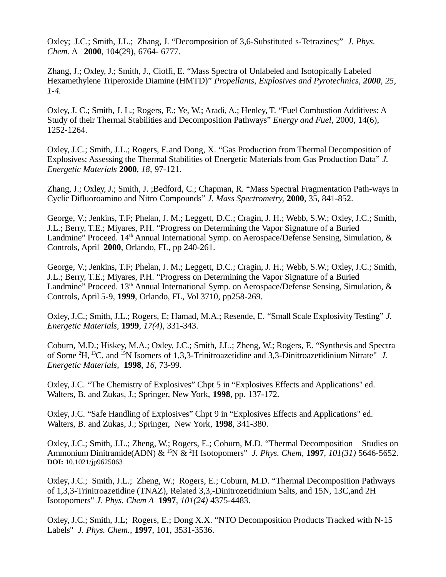Oxley; J.C.; Smith, J.L.; Zhang, J. "Decomposition of 3,6-Substituted s-Tetrazines;" *J. Phys. Chem.* A **2000**, 104(29), 6764- 6777.

Zhang, J.; Oxley, J.; Smith, J., Cioffi, E. "Mass Spectra of Unlabeled and Isotopically Labeled Hexamethylene Triperoxide Diamine (HMTD)" *Propellants, Explosives and Pyrotechnics, 2000, 25, 1-4.*

Oxley, J. C.; Smith, J. L.; Rogers, E.; Ye, W.; Aradi, A.; Henley, T. "Fuel Combustion Additives: A Study of their Thermal Stabilities and Decomposition Pathways" *Energy and Fuel*, 2000, 14(6), 1252-1264.

Oxley, J.C.; Smith, J.L.; Rogers, E.and Dong, X. "Gas Production from Thermal Decomposition of Explosives: Assessing the Thermal Stabilities of Energetic Materials from Gas Production Data" *J. Energetic Materials* **2000***, 18,* 97-121.

Zhang, J.; Oxley, J.; Smith, J. ;Bedford, C.; Chapman, R. "Mass Spectral Fragmentation Path-ways in Cyclic Difluoroamino and Nitro Compounds" *J. Mass Spectrometry,* **2000**, 35, 841-852.

George, V.; Jenkins, T.F; Phelan, J. M.; Leggett, D.C.; Cragin, J. H.; Webb, S.W.; Oxley, J.C.; Smith, J.L.; Berry, T.E.; Miyares, P.H. "Progress on Determining the Vapor Signature of a Buried Landmine" Proceed. 14<sup>th</sup> Annual International Symp. on Aerospace/Defense Sensing, Simulation, & Controls, April **2000**, Orlando, FL, pp 240-261.

George, V.; Jenkins, T.F; Phelan, J. M.; Leggett, D.C.; Cragin, J. H.; Webb, S.W.; Oxley, J.C.; Smith, J.L.; Berry, T.E.; Miyares, P.H. "Progress on Determining the Vapor Signature of a Buried Landmine" Proceed.  $13<sup>th</sup>$  Annual International Symp. on Aerospace/Defense Sensing, Simulation, & Controls, April 5-9, **1999**, Orlando, FL, Vol 3710, pp258-269.

Oxley, J.C.; Smith, J.L.; Rogers, E; Hamad, M.A.; Resende, E. "Small Scale Explosivity Testing" *J. Energetic Materials,* **1999**, *17(4),* 331-343.

Coburn, M.D.; Hiskey, M.A.; Oxley, J.C.; Smith, J.L.; Zheng, W.; Rogers, E. "Synthesis and Spectra of Some <sup>2</sup>H,<sup>13</sup>C, and <sup>15</sup>N Isomers of 1,3,3-Trinitroazetidine and 3,3-Dinitroazetidinium Nitrate" *J. Energetic Materials*, **1998**, *16*, 73-99.

Oxley, J.C. "The Chemistry of Explosives" Chpt 5 in "Explosives Effects and Applications" ed. Walters, B. and Zukas, J.; Springer, New York, **1998**, pp. 137-172.

Oxley, J.C. "Safe Handling of Explosives" Chpt 9 in "Explosives Effects and Applications" ed. Walters, B. and Zukas, J.; Springer, New York, **1998**, 341-380.

Oxley, J.C.; Smith, J.L.; Zheng, W.; Rogers, E.; Coburn, M.D. "Thermal Decomposition Studies on Ammonium Dinitramide(ADN) & <sup>15</sup>N & <sup>2</sup>H Isotopomers" *J. Phys. Chem,* **1997***, 101(31)* 5646-5652. **DOI:** 10.1021/jp9625063

Oxley, J.C.; Smith, J.L.; Zheng, W.; Rogers, E.; Coburn, M.D. "Thermal Decomposition Pathways of 1,3,3-Trinitroazetidine (TNAZ), Related 3,3,-Dinitrozetidinium Salts, and 15N, 13C,and 2H Isotopomers" *J. Phys. Chem A* **1997***, 101(24)* 4375-4483.

Oxley, J.C.; Smith, J.L; Rogers, E.; Dong X.X. "NTO Decomposition Products Tracked with N-15 Labels" *J. Phys. Chem.,* **1997**, 101, 3531-3536.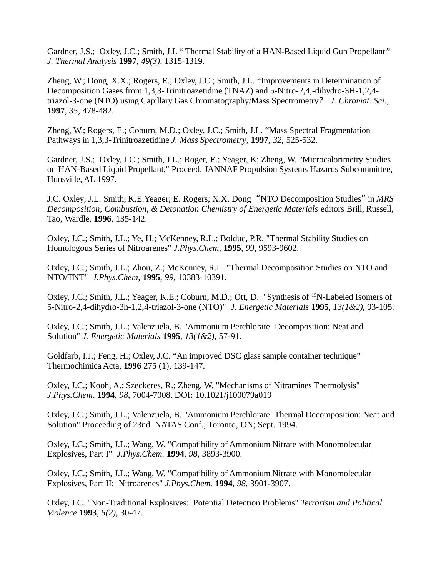Gardner, J.S.; Oxley, J.C.; Smith, J.L " Thermal Stability of a HAN-Based Liquid Gun Propellant*" J. Thermal Analysis* **1997**, *49(3)*, 1315-1319.

Zheng, W.; Dong, X.X.; Rogers, E.; Oxley, J.C.; Smith, J.L. "Improvements in Determination of Decomposition Gases from 1,3,3-Trinitroazetidine (TNAZ) and 5-Nitro-2,4,-dihydro-3H-1,2,4 triazol-3-one (NTO) using Capillary Gas Chromatography/Mass Spectrometry? *J. Chromat. Sci.*, **1997***, 35,* 478-482.

Zheng, W.; Rogers, E.; Coburn, M.D.; Oxley, J.C.; Smith, J.L. "Mass Spectral Fragmentation Pathways in 1,3,3-Trinitroazetidine *J. Mass Spectrometry*, **1997**, *32*, 525-532.

Gardner, J.S.; Oxley, J.C.; Smith, J.L.; Roger, E.; Yeager, K; Zheng, W. "Microcalorimetry Studies on HAN-Based Liquid Propellant," Proceed. JANNAF Propulsion Systems Hazards Subcommittee, Hunsville, AL 1997.

J.C. Oxley; J.L. Smith; K.E.Yeager; E. Rogers; X.X. Dong "NTO Decomposition Studies" in *MRS Decomposition, Combustion, & Detonation Chemistry of Energetic Materials* editors Brill, Russell, Tao, Wardle, **1996**, 135-142.

Oxley, J.C.; Smith, J.L.; Ye, H.; McKenney, R.L.; Bolduc, P.R. "Thermal Stability Studies on Homologous Series of Nitroarenes" *J.Phys.Chem*, **1995**, *99*, 9593-9602.

Oxley, J.C.; Smith, J.L.; Zhou, Z.; McKenney, R.L. "Thermal Decomposition Studies on NTO and NTO/TNT" *J.Phys.Chem*, **1995**, *99*, 10383-10391.

Oxley, J.C.; Smith, J.L.; Yeager, K.E.; Coburn, M.D.; Ott, D. "Synthesis of <sup>15</sup>N-Labeled Isomers of 5-Nitro-2,4-dihydro-3h-1,2,4-triazol-3-one (NTO)" *J. Energetic Materials* **1995**, *13(1&2)*, 93-105.

Oxley, J.C.; Smith, J.L.; Valenzuela, B. "Ammonium Perchlorate Decomposition: Neat and Solution" *J. Energetic Materials* **1995**, *13(1&2)*, 57-91.

Goldfarb, I.J.; Feng, H.; Oxley, J.C. "An improved DSC glass sample container technique" Thermochimica Acta, **1996** 275 (1), 139-147.

Oxley, J.C.; Kooh, A.; Szeckeres, R.; Zheng, W. "Mechanisms of Nitramines Thermolysis" *J.Phys.Chem.* **1994**, *98*, 7004-7008. DOI**:** 10.1021/j100079a019

Oxley, J.C.; Smith, J.L.; Valenzuela, B. "Ammonium Perchlorate Thermal Decomposition: Neat and Solution" Proceeding of 23nd NATAS Conf.; Toronto, ON; Sept. 1994.

Oxley, J.C.; Smith, J.L.; Wang, W. "Compatibility of Ammonium Nitrate with Monomolecular Explosives, Part I" *J.Phys.Chem.* **1994**, *98*, 3893-3900.

Oxley, J.C.; Smith, J.L.; Wang, W. "Compatibility of Ammonium Nitrate with Monomolecular Explosives, Part II: Nitroarenes" *J.Phys.Chem.* **1994**, *98*, 3901-3907.

Oxley, J.C. "Non-Traditional Explosives: Potential Detection Problems" *Terrorism and Political Violence* **1993**, *5(2)*, 30-47.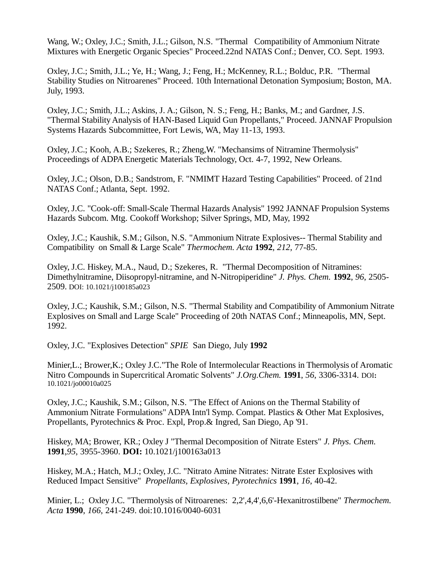Wang, W.; Oxley, J.C.; Smith, J.L.; Gilson, N.S. "Thermal Compatibility of Ammonium Nitrate Mixtures with Energetic Organic Species" Proceed.22nd NATAS Conf.; Denver, CO. Sept. 1993.

Oxley, J.C.; Smith, J.L.; Ye, H.; Wang, J.; Feng, H.; McKenney, R.L.; Bolduc, P.R. "Thermal Stability Studies on Nitroarenes" Proceed. 10th International Detonation Symposium; Boston, MA. July, 1993.

Oxley, J.C.; Smith, J.L.; Askins, J. A.; Gilson, N. S.; Feng, H.; Banks, M.; and Gardner, J.S. "Thermal Stability Analysis of HAN-Based Liquid Gun Propellants," Proceed. JANNAF Propulsion Systems Hazards Subcommittee, Fort Lewis, WA, May 11-13, 1993.

Oxley, J.C.; Kooh, A.B.; Szekeres, R.; Zheng,W. "Mechansims of Nitramine Thermolysis" Proceedings of ADPA Energetic Materials Technology, Oct. 4-7, 1992, New Orleans.

Oxley, J.C.; Olson, D.B.; Sandstrom, F. "NMIMT Hazard Testing Capabilities" Proceed. of 21nd NATAS Conf.; Atlanta, Sept. 1992.

Oxley, J.C. "Cook-off: Small-Scale Thermal Hazards Analysis" 1992 JANNAF Propulsion Systems Hazards Subcom. Mtg. Cookoff Workshop; Silver Springs, MD, May, 1992

Oxley, J.C.; Kaushik, S.M.; Gilson, N.S. "Ammonium Nitrate Explosives-- Thermal Stability and Compatibility on Small & Large Scale" *Thermochem. Acta* **1992**, *212*, 77-85.

Oxley, J.C. Hiskey, M.A., Naud, D.; Szekeres, R. "Thermal Decomposition of Nitramines: Dimethylnitramine, Diisopropyl-nitramine, and N-Nitropiperidine" *J. Phys. Chem.* **1992**, *96*, 2505- 2509. DOI: 10.1021/j100185a023

Oxley, J.C.; Kaushik, S.M.; Gilson, N.S. "Thermal Stability and Compatibility of Ammonium Nitrate Explosives on Small and Large Scale" Proceeding of 20th NATAS Conf.; Minneapolis, MN, Sept. 1992.

Oxley, J.C. "Explosives Detection" *SPIE* San Diego, July **1992**

Minier,L.; Brower,K.; Oxley J.C."The Role of Intermolecular Reactions in Thermolysis of Aromatic Nitro Compounds in Supercritical Aromatic Solvents" *J.Org.Chem.* **1991**, *56*, 3306-3314. DOI**:**  10.1021/jo00010a025

Oxley, J.C.; Kaushik, S.M.; Gilson, N.S. "The Effect of Anions on the Thermal Stability of Ammonium Nitrate Formulations" ADPA Intn'l Symp. Compat. Plastics & Other Mat Explosives, Propellants, Pyrotechnics & Proc. Expl, Prop.& Ingred, San Diego, Ap '91.

Hiskey, MA; Brower, KR.; Oxley J "Thermal Decomposition of Nitrate Esters" *J. Phys. Chem.* **1991**,*95*, 3955-3960. **DOI:** 10.1021/j100163a013

Hiskey, M.A.; Hatch, M.J.; Oxley, J.C. "Nitrato Amine Nitrates: Nitrate Ester Explosives with Reduced Impact Sensitive" *Propellants, Explosives, Pyrotechnics* **1991**, *16*, 40-42.

Minier, L.; Oxley J.C. "Thermolysis of Nitroarenes: 2,2',4,4',6,6'-Hexanitrostilbene" *Thermochem. Acta* **1990**, *166*, 241-249. doi:10.1016/0040-6031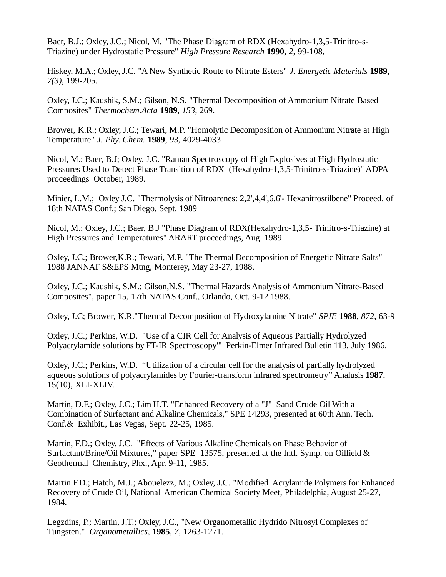Baer, B.J.; Oxley, J.C.; Nicol, M. "The Phase Diagram of RDX (Hexahydro-1,3,5-Trinitro-s-Triazine) under Hydrostatic Pressure" *High Pressure Research* **1990**, *2*, 99-108,

Hiskey, M.A.; Oxley, J.C. "A New Synthetic Route to Nitrate Esters" *J. Energetic Materials* **1989**, *7(3)*, 199-205.

Oxley, J.C.; Kaushik, S.M.; Gilson, N.S. "Thermal Decomposition of Ammonium Nitrate Based Composites" *Thermochem.Acta* **1989**, *153*, 269.

Brower, K.R.; Oxley, J.C.; Tewari, M.P. "Homolytic Decomposition of Ammonium Nitrate at High Temperature" *J. Phy. Chem.* **1989**, *93*, 4029-4033

Nicol, M.; Baer, B.J; Oxley, J.C. "Raman Spectroscopy of High Explosives at High Hydrostatic Pressures Used to Detect Phase Transition of RDX (Hexahydro-1,3,5-Trinitro-s-Triazine)" ADPA proceedings October, 1989.

Minier, L.M.; Oxley J.C. "Thermolysis of Nitroarenes: 2,2',4,4',6,6'- Hexanitrostilbene" Proceed. of 18th NATAS Conf.; San Diego, Sept. 1989

Nicol, M.; Oxley, J.C.; Baer, B.J "Phase Diagram of RDX(Hexahydro-1,3,5- Trinitro-s-Triazine) at High Pressures and Temperatures" ARART proceedings, Aug. 1989.

Oxley, J.C.; Brower,K.R.; Tewari, M.P. "The Thermal Decomposition of Energetic Nitrate Salts" 1988 JANNAF S&EPS Mtng, Monterey, May 23-27, 1988.

Oxley, J.C.; Kaushik, S.M.; Gilson,N.S. "Thermal Hazards Analysis of Ammonium Nitrate-Based Composites", paper 15, 17th NATAS Conf., Orlando, Oct. 9-12 1988.

Oxley, J.C; Brower, K.R."Thermal Decomposition of Hydroxylamine Nitrate" *SPIE* **1988**, *872*, 63-9

Oxley, J.C.; Perkins, W.D. "Use of a CIR Cell for Analysis of Aqueous Partially Hydrolyzed Polyacrylamide solutions by FT-IR Spectroscopy'" Perkin-Elmer Infrared Bulletin 113, July 1986.

Oxley, J.C.; Perkins, W.D. "Utilization of a circular cell for the analysis of partially hydrolyzed aqueous solutions of polyacrylamides by Fourier-transform infrared spectrometry" Analusis **1987**, 15(10), XLI-XLIV.

Martin, D.F.; Oxley, J.C.; Lim H.T. "Enhanced Recovery of a "J" Sand Crude Oil With a Combination of Surfactant and Alkaline Chemicals," SPE 14293, presented at 60th Ann. Tech. Conf.& Exhibit., Las Vegas, Sept. 22-25, 1985.

Martin, F.D.; Oxley, J.C. "Effects of Various Alkaline Chemicals on Phase Behavior of Surfactant/Brine/Oil Mixtures," paper SPE 13575, presented at the Intl. Symp. on Oilfield & Geothermal Chemistry, Phx., Apr. 9-11, 1985.

Martin F.D.; Hatch, M.J.; Abouelezz, M.; Oxley, J.C. "Modified Acrylamide Polymers for Enhanced Recovery of Crude Oil, National American Chemical Society Meet, Philadelphia, August 25-27, 1984.

Legzdins, P.; Martin, J.T.; Oxley, J.C., "New Organometallic Hydrido Nitrosyl Complexes of Tungsten." *Organometallics*, **1985**, *7*, 1263-1271.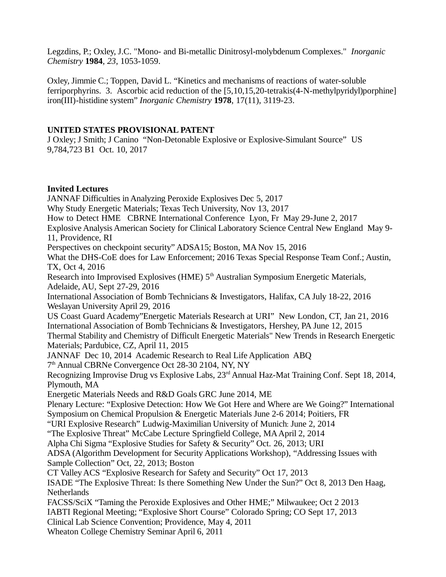Legzdins, P.; Oxley, J.C. "Mono- and Bi-metallic Dinitrosyl-molybdenum Complexes." *Inorganic Chemistry* **1984**, *23*, 1053-1059.

Oxley, Jimmie C.; Toppen, David L. "Kinetics and mechanisms of reactions of water-soluble ferriporphyrins. 3. Ascorbic acid reduction of the [5,10,15,20-tetrakis(4-N-methylpyridyl)porphine] iron(III)-histidine system" *Inorganic Chemistry* **1978**, 17(11), 3119-23.

## **UNITED STATES PROVISIONAL PATENT**

J Oxley; J Smith; J Canino "Non-Detonable Explosive or Explosive-Simulant Source" US 9,784,723 B1 Oct. 10, 2017

### **Invited Lectures**

JANNAF Difficulties in Analyzing Peroxide Explosives Dec 5, 2017 Why Study Energetic Materials; Texas Tech University, Nov 13, 2017 How to Detect HME CBRNE International Conference Lyon, Fr May 29-June 2, 2017 Explosive Analysis American Society for Clinical Laboratory Science Central New England May 9- 11, Providence, RI Perspectives on checkpoint security" ADSA15; Boston, MA Nov 15, 2016 What the DHS-CoE does for Law Enforcement; 2016 Texas Special Response Team Conf.; Austin, TX, Oct 4, 2016 Research into Improvised Explosives (HME) 5<sup>th</sup> Australian Symposium Energetic Materials, Adelaide, AU, Sept 27-29, 2016 International Association of Bomb Technicians & Investigators, Halifax, CA July 18-22, 2016 Weslayan University April 29, 2016 US Coast Guard Academy"Energetic Materials Research at URI" New London, CT, Jan 21, 2016 International Association of Bomb Technicians & Investigators, Hershey, PA June 12, 2015 Thermal Stability and Chemistry of Difficult Energetic Materials" New Trends in Research Energetic Materials; Pardubice, CZ, April 11, 2015 JANNAF Dec 10, 2014 Academic Research to Real Life Application ABQ 7 th Annual CBRNe Convergence Oct 28-30 2104, NY, NY Recognizing Improvise Drug vs Explosive Labs, 23rd Annual Haz-Mat Training Conf. Sept 18, 2014, Plymouth, MA Energetic Materials Needs and R&D Goals GRC June 2014, ME Plenary Lecture: "Explosive Detection: How We Got Here and Where are We Going?" International Symposium on Chemical Propulsion & Energetic Materials June 2-6 2014; Poitiers, FR "URI Explosive Research" Ludwig-Maximilian University of Munich: June 2, 2014 "The Explosive Threat" McCabe Lecture Springfield College, MA April 2, 2014 Alpha Chi Sigma "Explosive Studies for Safety & Security" Oct. 26, 2013; URI ADSA (Algorithm Development for Security Applications Workshop), "Addressing Issues with Sample Collection" Oct, 22, 2013; Boston CT Valley ACS "Explosive Research for Safety and Security" Oct 17, 2013 ISADE "The Explosive Threat: Is there Something New Under the Sun?" Oct 8, 2013 Den Haag, Netherlands FACSS/SciX "Taming the Peroxide Explosives and Other HME;" Milwaukee; Oct 2 2013 IABTI Regional Meeting; "Explosive Short Course" Colorado Spring; CO Sept 17, 2013 Clinical Lab Science Convention; Providence, May 4, 2011 Wheaton College Chemistry Seminar April 6, 2011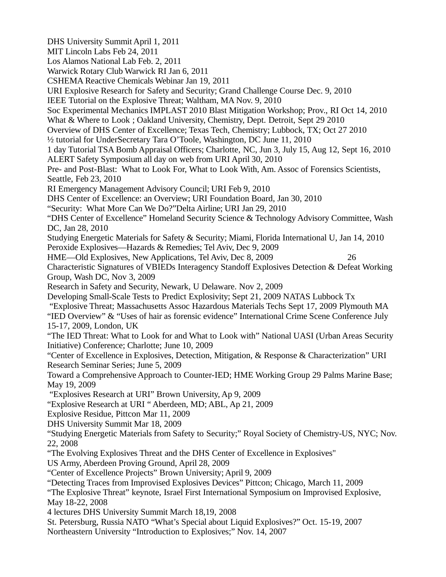DHS University Summit April 1, 2011 MIT Lincoln Labs Feb 24, 2011 Los Alamos National Lab Feb. 2, 2011 Warwick Rotary Club Warwick RI Jan 6, 2011 CSHEMA Reactive Chemicals Webinar Jan 19, 2011 URI Explosive Research for Safety and Security; Grand Challenge Course Dec. 9, 2010 IEEE Tutorial on the Explosive Threat; Waltham, MA Nov. 9, 2010 Soc Experimental Mechanics IMPLAST 2010 Blast Mitigation Workshop; Prov., RI Oct 14, 2010 What & Where to Look ; Oakland University, Chemistry, Dept. Detroit, Sept 29 2010 Overview of DHS Center of Excellence; Texas Tech, Chemistry; Lubbock, TX; Oct 27 2010 ½ tutorial for UnderSecretary Tara O'Toole, Washington, DC June 11, 2010 1 day Tutorial TSA Bomb Appraisal Officers; Charlotte, NC, Jun 3, July 15, Aug 12, Sept 16, 2010 ALERT Safety Symposium all day on web from URI April 30, 2010 Pre- and Post-Blast: What to Look For, What to Look With, Am. Assoc of Forensics Scientists, Seattle, Feb 23, 2010 RI Emergency Management Advisory Council; URI Feb 9, 2010 DHS Center of Excellence: an Overview; URI Foundation Board, Jan 30, 2010 "Security: What More Can We Do?"Delta Airline; URI Jan 29, 2010 "DHS Center of Excellence" Homeland Security Science & Technology Advisory Committee, Wash DC, Jan 28, 2010 Studying Energetic Materials for Safety & Security; Miami, Florida International U, Jan 14, 2010 Peroxide Explosives—Hazards & Remedies; Tel Aviv, Dec 9, 2009 HME—Old Explosives, New Applications, Tel Aviv, Dec 8, 2009 26 Characteristic Signatures of VBIEDs Interagency Standoff Explosives Detection & Defeat Working Group, Wash DC, Nov 3, 2009 Research in Safety and Security, Newark, U Delaware. Nov 2, 2009 Developing Small-Scale Tests to Predict Explosivity; Sept 21, 2009 NATAS Lubbock Tx "Explosive Threat; Massachusetts Assoc Hazardous Materials Techs Sept 17, 2009 Plymouth MA "IED Overview" & "Uses of hair as forensic evidence" International Crime Scene Conference July 15-17, 2009, London, UK "The IED Threat: What to Look for and What to Look with" National UASI (Urban Areas Security Initiative) Conference; Charlotte; June 10, 2009 "Center of Excellence in Explosives, Detection, Mitigation, & Response & Characterization" URI Research Seminar Series; June 5, 2009 Toward a Comprehensive Approach to Counter-IED; HME Working Group 29 Palms Marine Base; May 19, 2009 "Explosives Research at URI" Brown University, Ap 9, 2009 "Explosive Research at URI " Aberdeen, MD; ABL, Ap 21, 2009 Explosive Residue, Pittcon Mar 11, 2009 DHS University Summit Mar 18, 2009 "Studying Energetic Materials from Safety to Security;" Royal Society of Chemistry-US, NYC; Nov. 22, 2008 "The Evolving Explosives Threat and the DHS Center of Excellence in Explosives" US Army, Aberdeen Proving Ground, April 28, 2009 "Center of Excellence Projects" Brown University; April 9, 2009 "Detecting Traces from Improvised Explosives Devices" Pittcon; Chicago, March 11, 2009 "The Explosive Threat" keynote, Israel First International Symposium on Improvised Explosive, May 18-22, 2008 4 lectures DHS University Summit March 18,19, 2008 St. Petersburg, Russia NATO "What's Special about Liquid Explosives?" Oct. 15-19, 2007 Northeastern University "Introduction to Explosives;" Nov. 14, 2007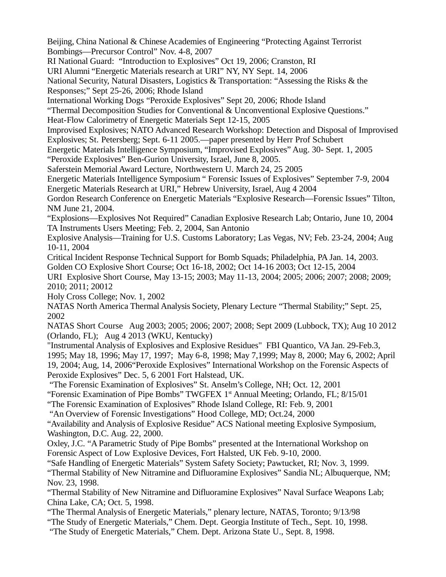Beijing, China National & Chinese Academies of Engineering "Protecting Against Terrorist Bombings—Precursor Control" Nov. 4-8, 2007

RI National Guard: "Introduction to Explosives" Oct 19, 2006; Cranston, RI

URI Alumni "Energetic Materials research at URI" NY, NY Sept. 14, 2006

National Security, Natural Disasters, Logistics & Transportation: "Assessing the Risks & the Responses;" Sept 25-26, 2006; Rhode Island

International Working Dogs "Peroxide Explosives" Sept 20, 2006; Rhode Island

"Thermal Decomposition Studies for Conventional & Unconventional Explosive Questions."

Heat-Flow Calorimetry of Energetic Materials Sept 12-15, 2005

Improvised Explosives; NATO Advanced Research Workshop: Detection and Disposal of Improvised Explosives; St. Petersberg; Sept. 6-11 2005.—paper presented by Herr Prof Schubert

Energetic Materials Intelligence Symposium, "Improvised Explosives" Aug. 30- Sept. 1, 2005 "Peroxide Explosives" Ben-Gurion University, Israel, June 8, 2005.

Saferstein Memorial Award Lecture, Northwestern U. March 24, 25 2005

Energetic Materials Intelligence Symposium " Forensic Issues of Explosives" September 7-9, 2004 Energetic Materials Research at URI," Hebrew University, Israel, Aug 4 2004

Gordon Research Conference on Energetic Materials "Explosive Research—Forensic Issues" Tilton, NM June 21, 2004.

"Explosions—Explosives Not Required" Canadian Explosive Research Lab; Ontario, June 10, 2004 TA Instruments Users Meeting; Feb. 2, 2004, San Antonio

Explosive Analysis—Training for U.S. Customs Laboratory; Las Vegas, NV; Feb. 23-24, 2004; Aug 10-11, 2004

Critical Incident Response Technical Support for Bomb Squads; Philadelphia, PA Jan. 14, 2003.

Golden CO Explosive Short Course; Oct 16-18, 2002; Oct 14-16 2003; Oct 12-15, 2004

URI Explosive Short Course, May 13-15; 2003; May 11-13, 2004; 2005; 2006; 2007; 2008; 2009; 2010; 2011; 20012

Holy Cross College; Nov. 1, 2002

NATAS North America Thermal Analysis Society, Plenary Lecture "Thermal Stability;" Sept. 25, 2002

NATAS Short Course Aug 2003; 2005; 2006; 2007; 2008; Sept 2009 (Lubbock, TX); Aug 10 2012 (Orlando, FL); Aug 4 2013 (WKU, Kentucky)

"Instrumental Analysis of Explosives and Explosive Residues" FBI Quantico, VA Jan. 29-Feb.3, 1995; May 18, 1996; May 17, 1997; May 6-8, 1998; May 7,1999; May 8, 2000; May 6, 2002; April 19, 2004; Aug, 14, 2006"Peroxide Explosives" International Workshop on the Forensic Aspects of Peroxide Explosives" Dec. 5, 6 2001 Fort Halstead, UK.

"The Forensic Examination of Explosives" St. Anselm's College, NH; Oct. 12, 2001

"Forensic Examination of Pipe Bombs" TWGFEX  $1<sup>st</sup>$  Annual Meeting; Orlando, FL; 8/15/01

"The Forensic Examination of Explosives" Rhode Island College, RI: Feb. 9, 2001

"An Overview of Forensic Investigations" Hood College, MD; Oct.24, 2000

"Availability and Analysis of Explosive Residue" ACS National meeting Explosive Symposium, Washington, D.C. Aug. 22, 2000.

Oxley, J.C. "A Parametric Study of Pipe Bombs" presented at the International Workshop on Forensic Aspect of Low Explosive Devices, Fort Halsted, UK Feb. 9-10, 2000.

"Safe Handling of Energetic Materials" System Safety Society; Pawtucket, RI; Nov. 3, 1999.

"Thermal Stability of New Nitramine and Difluoramine Explosives" Sandia NL; Albuquerque, NM; Nov. 23, 1998.

"Thermal Stability of New Nitramine and Difluoramine Explosives" Naval Surface Weapons Lab; China Lake, CA; Oct. 5, 1998.

"The Thermal Analysis of Energetic Materials," plenary lecture, NATAS, Toronto; 9/13/98

"The Study of Energetic Materials," Chem. Dept. Georgia Institute of Tech., Sept. 10, 1998.

"The Study of Energetic Materials," Chem. Dept. Arizona State U., Sept. 8, 1998.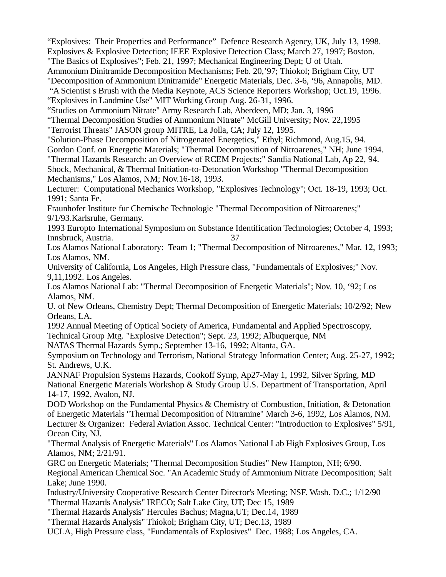"Explosives: Their Properties and Performance" Defence Research Agency, UK, July 13, 1998. Explosives & Explosive Detection; IEEE Explosive Detection Class; March 27, 1997; Boston. "The Basics of Explosives"; Feb. 21, 1997; Mechanical Engineering Dept; U of Utah.

Ammonium Dinitramide Decomposition Mechanisms; Feb. 20,'97; Thiokol; Brigham City, UT "Decomposition of Ammonium Dinitramide" Energetic Materials, Dec. 3-6, '96, Annapolis, MD.

"A Scientist s Brush with the Media Keynote, ACS Science Reporters Workshop; Oct.19, 1996.

"Explosives in Landmine Use" MIT Working Group Aug. 26-31, 1996.

"Studies on Ammonium Nitrate" Army Research Lab, Aberdeen, MD; Jan. 3, 1996

"Thermal Decomposition Studies of Ammonium Nitrate" McGill University; Nov. 22,1995

"Terrorist Threats" JASON group MITRE, La Jolla, CA; July 12, 1995.

"Solution-Phase Decomposition of Nitrogenated Energetics," Ethyl; Richmond, Aug.15, 94. Gordon Conf. on Energetic Materials; "Thermal Decomposition of Nitroarenes," NH; June 1994. "Thermal Hazards Research: an Overview of RCEM Projects;" Sandia National Lab, Ap 22, 94.

Shock, Mechanical, & Thermal Initiation-to-Detonation Workshop "Thermal Decomposition Mechanisms," Los Alamos, NM; Nov.16-18, 1993.

Lecturer: Computational Mechanics Workshop, "Explosives Technology"; Oct. 18-19, 1993; Oct. 1991; Santa Fe.

Fraunhofer Institute fur Chemische Technologie "Thermal Decomposition of Nitroarenes;" 9/1/93.Karlsruhe, Germany.

1993 Europto International Symposium on Substance Identification Technologies; October 4, 1993; Innsbruck, Austria. 37

Los Alamos National Laboratory: Team 1; "Thermal Decomposition of Nitroarenes," Mar. 12, 1993; Los Alamos, NM.

University of California, Los Angeles, High Pressure class, "Fundamentals of Explosives;" Nov. 9,11,1992. Los Angeles.

Los Alamos National Lab: "Thermal Decomposition of Energetic Materials"; Nov. 10, '92; Los Alamos, NM.

U. of New Orleans, Chemistry Dept; Thermal Decomposition of Energetic Materials; 10/2/92; New Orleans, LA.

1992 Annual Meeting of Optical Society of America, Fundamental and Applied Spectroscopy,

Technical Group Mtg. "Explosive Detection"; Sept. 23, 1992; Albuquerque, NM

NATAS Thermal Hazards Symp.; September 13-16, 1992; Altanta, GA.

Symposium on Technology and Terrorism, National Strategy Information Center; Aug. 25-27, 1992; St. Andrews, U.K.

JANNAF Propulsion Systems Hazards, Cookoff Symp, Ap27-May 1, 1992, Silver Spring, MD National Energetic Materials Workshop & Study Group U.S. Department of Transportation, April 14-17, 1992, Avalon, NJ.

DOD Workshop on the Fundamental Physics & Chemistry of Combustion, Initiation, & Detonation of Energetic Materials "Thermal Decomposition of Nitramine" March 3-6, 1992, Los Alamos, NM. Lecturer & Organizer: Federal Aviation Assoc. Technical Center: "Introduction to Explosives" 5/91, Ocean City, NJ.

"Thermal Analysis of Energetic Materials" Los Alamos National Lab High Explosives Group, Los Alamos, NM; 2/21/91.

GRC on Energetic Materials; "Thermal Decomposition Studies" New Hampton, NH; 6/90. Regional American Chemical Soc. "An Academic Study of Ammonium Nitrate Decomposition; Salt Lake; June 1990.

Industry/University Cooperative Research Center Director's Meeting; NSF. Wash. D.C.; 1/12/90 "Thermal Hazards Analysis" IRECO; Salt Lake City, UT; Dec 15, 1989

"Thermal Hazards Analysis" Hercules Bachus; Magna,UT; Dec.14, 1989

"Thermal Hazards Analysis" Thiokol; Brigham City, UT; Dec.13, 1989

UCLA, High Pressure class, "Fundamentals of Explosives" Dec. 1988; Los Angeles, CA.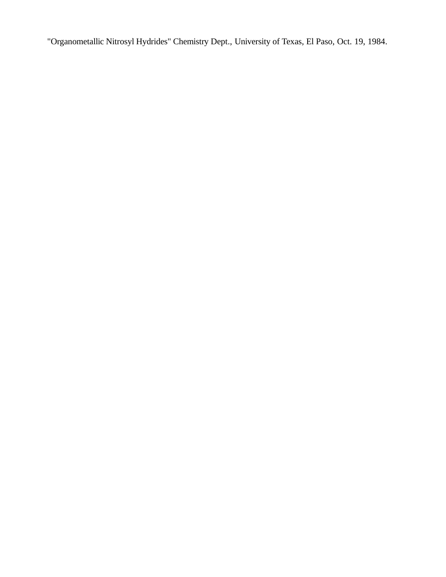"Organometallic Nitrosyl Hydrides" Chemistry Dept., University of Texas, El Paso, Oct. 19, 1984.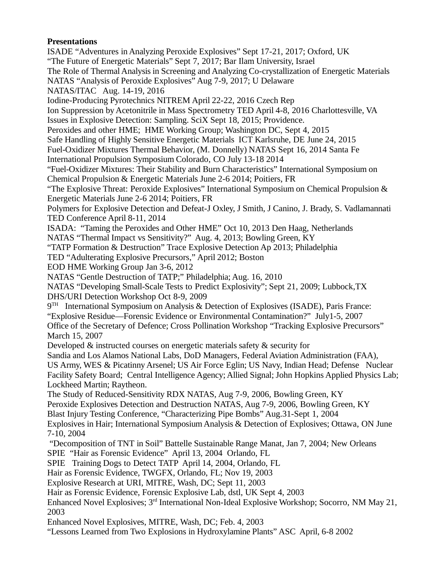# **Presentations**

ISADE "Adventures in Analyzing Peroxide Explosives" Sept 17-21, 2017; Oxford, UK "The Future of Energetic Materials" Sept 7, 2017; Bar Ilam University, Israel The Role of Thermal Analysis in Screening and Analyzing Co-crystallization of Energetic Materials NATAS "Analysis of Peroxide Explosives" Aug 7-9, 2017; U Delaware NATAS/ITAC Aug. 14-19, 2016 Iodine-Producing Pyrotechnics NITREM April 22-22, 2016 Czech Rep Ion Suppression by Acetonitrile in Mass Spectrometry TED April 4-8, 2016 Charlottesville, VA Issues in Explosive Detection: Sampling. SciX Sept 18, 2015; Providence. Peroxides and other HME; HME Working Group; Washington DC, Sept 4, 2015 Safe Handling of Highly Sensitive Energetic Materials ICT Karlsruhe, DE June 24, 2015 Fuel-Oxidizer Mixtures Thermal Behavior, (M. Donnelly) NATAS Sept 16, 2014 Santa Fe International Propulsion Symposium Colorado, CO July 13-18 2014 "Fuel-Oxidizer Mixtures: Their Stability and Burn Characteristics" International Symposium on Chemical Propulsion & Energetic Materials June 2-6 2014; Poitiers, FR "The Explosive Threat: Peroxide Explosives" International Symposium on Chemical Propulsion & Energetic Materials June 2-6 2014; Poitiers, FR Polymers for Explosive Detection and Defeat-J Oxley, J Smith, J Canino, J. Brady, S. Vadlamannati TED Conference April 8-11, 2014 ISADA: "Taming the Peroxides and Other HME" Oct 10, 2013 Den Haag, Netherlands NATAS "Thermal Impact vs Sensitivity?" Aug. 4, 2013; Bowling Green, KY "TATP Formation & Destruction" Trace Explosive Detection Ap 2013; Philadelphia TED "Adulterating Explosive Precursors," April 2012; Boston EOD HME Working Group Jan 3-6, 2012 NATAS "Gentle Destruction of TATP;" Philadelphia; Aug. 16, 2010 NATAS "Developing Small-Scale Tests to Predict Explosivity"; Sept 21, 2009; Lubbock,TX DHS/URI Detection Workshop Oct 8-9, 2009  $9<sup>TH</sup>$  International Symposium on Analysis & Detection of Explosives (ISADE), Paris France: "Explosive Residue—Forensic Evidence or Environmental Contamination?" July1-5, 2007 Office of the Secretary of Defence; Cross Pollination Workshop "Tracking Explosive Precursors" March 15, 2007 Developed & instructed courses on energetic materials safety & security for Sandia and Los Alamos National Labs, DoD Managers, Federal Aviation Administration (FAA), US Army, WES & Picatinny Arsenel; US Air Force Eglin; US Navy, Indian Head; Defense Nuclear Facility Safety Board; Central Intelligence Agency; Allied Signal; John Hopkins Applied Physics Lab; Lockheed Martin; Raytheon. The Study of Reduced-Sensitivity RDX NATAS, Aug 7-9, 2006, Bowling Green, KY Peroxide Explosives Detection and Destruction NATAS, Aug 7-9, 2006, Bowling Green, KY Blast Injury Testing Conference, "Characterizing Pipe Bombs" Aug.31-Sept 1, 2004 Explosives in Hair; International Symposium Analysis & Detection of Explosives; Ottawa, ON June 7-10, 2004 "Decomposition of TNT in Soil" Battelle Sustainable Range Manat, Jan 7, 2004; New Orleans SPIE "Hair as Forensic Evidence" April 13, 2004 Orlando, FL SPIE Training Dogs to Detect TATP April 14, 2004, Orlando, FL Hair as Forensic Evidence, TWGFX, Orlando, FL; Nov 19, 2003 Explosive Research at URI, MITRE, Wash, DC; Sept 11, 2003 Hair as Forensic Evidence, Forensic Explosive Lab, dstl, UK Sept 4, 2003 Enhanced Novel Explosives;  $3<sup>rd</sup>$  International Non-Ideal Explosive Workshop; Socorro, NM May 21, 2003 Enhanced Novel Explosives, MITRE, Wash, DC; Feb. 4, 2003

"Lessons Learned from Two Explosions in Hydroxylamine Plants" ASC April, 6-8 2002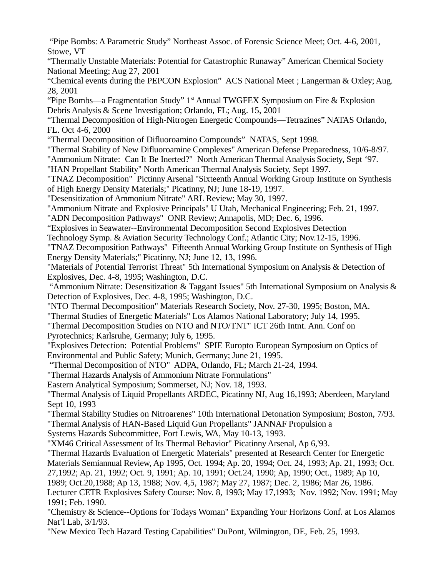"Pipe Bombs: A Parametric Study" Northeast Assoc. of Forensic Science Meet; Oct. 4-6, 2001, Stowe, VT

"Thermally Unstable Materials: Potential for Catastrophic Runaway" American Chemical Society National Meeting; Aug 27, 2001

"Chemical events during the PEPCON Explosion" ACS National Meet ; Langerman & Oxley; Aug. 28, 2001

"Pipe Bombs—a Fragmentation Study" 1<sup>st</sup> Annual TWGFEX Symposium on Fire & Explosion Debris Analysis & Scene Investigation; Orlando, FL; Aug. 15, 2001

"Thermal Decomposition of High-Nitrogen Energetic Compounds—Tetrazines" NATAS Orlando, FL. Oct 4-6, 2000

"Thermal Decomposition of Difluoroamino Compounds" NATAS, Sept 1998.

"Thermal Stability of New Difluoroamine Complexes" American Defense Preparedness, 10/6-8/97.

"Ammonium Nitrate: Can It Be Inerted?" North American Thermal Analysis Society, Sept '97.

"HAN Propellant Stability" North American Thermal Analysis Society, Sept 1997.

"TNAZ Decomposition" Pictinny Arsenal "Sixteenth Annual Working Group Institute on Synthesis of High Energy Density Materials;" Picatinny, NJ; June 18-19, 1997.

"Desensitization of Ammonium Nitrate" ARL Review; May 30, 1997.

"Ammonium Nitrate and Explosive Principals" U Utah, Mechanical Engineering; Feb. 21, 1997.

"ADN Decomposition Pathways" ONR Review; Annapolis, MD; Dec. 6, 1996.

"Explosives in Seawater--Environmental Decomposition Second Explosives Detection

Technology Symp. & Aviation Security Technology Conf.; Atlantic City; Nov.12-15, 1996.

"TNAZ Decomposition Pathways" Fifteenth Annual Working Group Institute on Synthesis of High Energy Density Materials;" Picatinny, NJ; June 12, 13, 1996.

"Materials of Potential Terrorist Threat" 5th International Symposium on Analysis & Detection of Explosives, Dec. 4-8, 1995; Washington, D.C.

 "Ammonium Nitrate: Desensitization & Taggant Issues" 5th International Symposium on Analysis & Detection of Explosives, Dec. 4-8, 1995; Washington, D.C.

"NTO Thermal Decomposition" Materials Research Society, Nov. 27-30, 1995; Boston, MA.

"Thermal Studies of Energetic Materials" Los Alamos National Laboratory; July 14, 1995.

"Thermal Decomposition Studies on NTO and NTO/TNT" ICT 26th Intnt. Ann. Conf on Pyrotechnics; Karlsruhe, Germany; July 6, 1995.

"Explosives Detection: Potential Problems" SPIE Europto European Symposium on Optics of Environmental and Public Safety; Munich, Germany; June 21, 1995.

"Thermal Decomposition of NTO" ADPA, Orlando, FL; March 21-24, 1994.

"Thermal Hazards Analysis of Ammonium Nitrate Formulations"

Eastern Analytical Symposium; Sommerset, NJ; Nov. 18, 1993.

"Thermal Analysis of Liquid Propellants ARDEC, Picatinny NJ, Aug 16,1993; Aberdeen, Maryland Sept 10, 1993

"Thermal Stability Studies on Nitroarenes" 10th International Detonation Symposium; Boston, 7/93. "Thermal Analysis of HAN-Based Liquid Gun Propellants" JANNAF Propulsion a

Systems Hazards Subcommittee, Fort Lewis, WA, May 10-13, 1993.

"XM46 Critical Assessment of Its Thermal Behavior" Picatinny Arsenal, Ap 6,'93.

"Thermal Hazards Evaluation of Energetic Materials" presented at Research Center for Energetic

Materials Semiannual Review, Ap 1995, Oct. 1994; Ap. 20, 1994; Oct. 24, 1993; Ap. 21, 1993; Oct.

27,1992; Ap. 21, 1992; Oct. 9, 1991; Ap. 10, 1991; Oct.24, 1990; Ap, 1990; Oct., 1989; Ap 10,

1989; Oct.20,1988; Ap 13, 1988; Nov. 4,5, 1987; May 27, 1987; Dec. 2, 1986; Mar 26, 1986.

Lecturer CETR Explosives Safety Course: Nov. 8, 1993; May 17,1993; Nov. 1992; Nov. 1991; May 1991; Feb. 1990.

"Chemistry & Science--Options for Todays Woman" Expanding Your Horizons Conf. at Los Alamos Nat'l Lab, 3/1/93.

"New Mexico Tech Hazard Testing Capabilities" DuPont, Wilmington, DE, Feb. 25, 1993.